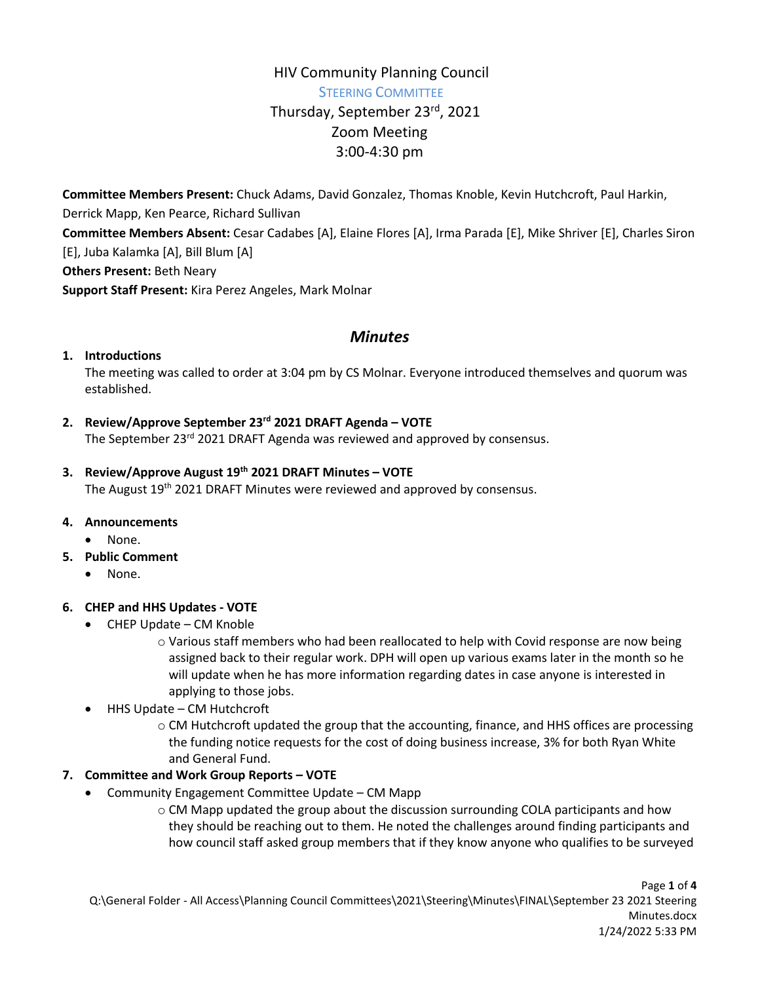# HIV Community Planning Council STEERING COMMITTEE Thursday, September 23rd, 2021 Zoom Meeting 3:00-4:30 pm

**Committee Members Present:** Chuck Adams, David Gonzalez, Thomas Knoble, Kevin Hutchcroft, Paul Harkin, Derrick Mapp, Ken Pearce, Richard Sullivan **Committee Members Absent:** Cesar Cadabes [A], Elaine Flores [A], Irma Parada [E], Mike Shriver [E], Charles Siron [E], Juba Kalamka [A], Bill Blum [A] **Others Present:** Beth Neary **Support Staff Present:** Kira Perez Angeles, Mark Molnar

# *Minutes*

## **1. Introductions**

The meeting was called to order at 3:04 pm by CS Molnar. Everyone introduced themselves and quorum was established.

# **2. Review/Approve September 23rd 2021 DRAFT Agenda – VOTE**

The September 23<sup>rd</sup> 2021 DRAFT Agenda was reviewed and approved by consensus.

## **3. Review/Approve August 19th 2021 DRAFT Minutes – VOTE**

The August 19<sup>th</sup> 2021 DRAFT Minutes were reviewed and approved by consensus.

## **4. Announcements**

- None.
- **5. Public Comment**
	- None.

## **6. CHEP and HHS Updates - VOTE**

- CHEP Update CM Knoble
	- o Various staff members who had been reallocated to help with Covid response are now being assigned back to their regular work. DPH will open up various exams later in the month so he will update when he has more information regarding dates in case anyone is interested in applying to those jobs.
- HHS Update CM Hutchcroft
	- $\circ$  CM Hutchcroft updated the group that the accounting, finance, and HHS offices are processing the funding notice requests for the cost of doing business increase, 3% for both Ryan White and General Fund.

# **7. Committee and Work Group Reports – VOTE**

- Community Engagement Committee Update CM Mapp
	- o CM Mapp updated the group about the discussion surrounding COLA participants and how they should be reaching out to them. He noted the challenges around finding participants and how council staff asked group members that if they know anyone who qualifies to be surveyed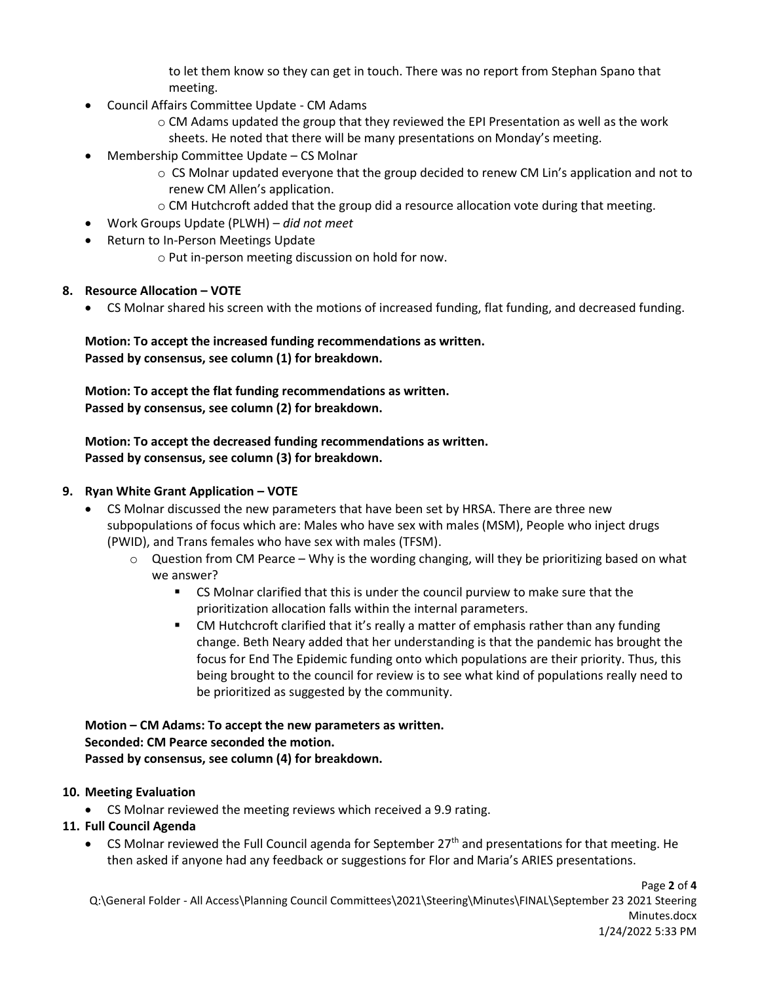to let them know so they can get in touch. There was no report from Stephan Spano that meeting.

- Council Affairs Committee Update CM Adams
	- o CM Adams updated the group that they reviewed the EPI Presentation as well as the work sheets. He noted that there will be many presentations on Monday's meeting.
- Membership Committee Update CS Molnar
	- $\circ$  CS Molnar updated everyone that the group decided to renew CM Lin's application and not to renew CM Allen's application.
	- $\circ$  CM Hutchcroft added that the group did a resource allocation vote during that meeting.
- Work Groups Update (PLWH) *did not meet*
- Return to In-Person Meetings Update
	- o Put in-person meeting discussion on hold for now.

#### **8. Resource Allocation – VOTE**

CS Molnar shared his screen with the motions of increased funding, flat funding, and decreased funding.

**Motion: To accept the increased funding recommendations as written. Passed by consensus, see column (1) for breakdown.** 

**Motion: To accept the flat funding recommendations as written. Passed by consensus, see column (2) for breakdown.** 

**Motion: To accept the decreased funding recommendations as written. Passed by consensus, see column (3) for breakdown.** 

#### **9. Ryan White Grant Application – VOTE**

- CS Molnar discussed the new parameters that have been set by HRSA. There are three new subpopulations of focus which are: Males who have sex with males (MSM), People who inject drugs (PWID), and Trans females who have sex with males (TFSM).
	- $\circ$  Question from CM Pearce Why is the wording changing, will they be prioritizing based on what we answer?
		- CS Molnar clarified that this is under the council purview to make sure that the prioritization allocation falls within the internal parameters.
		- CM Hutchcroft clarified that it's really a matter of emphasis rather than any funding change. Beth Neary added that her understanding is that the pandemic has brought the focus for End The Epidemic funding onto which populations are their priority. Thus, this being brought to the council for review is to see what kind of populations really need to be prioritized as suggested by the community.

**Motion – CM Adams: To accept the new parameters as written. Seconded: CM Pearce seconded the motion. Passed by consensus, see column (4) for breakdown.** 

#### **10. Meeting Evaluation**

CS Molnar reviewed the meeting reviews which received a 9.9 rating.

#### **11. Full Council Agenda**

• CS Molnar reviewed the Full Council agenda for September  $27<sup>th</sup>$  and presentations for that meeting. He then asked if anyone had any feedback or suggestions for Flor and Maria's ARIES presentations.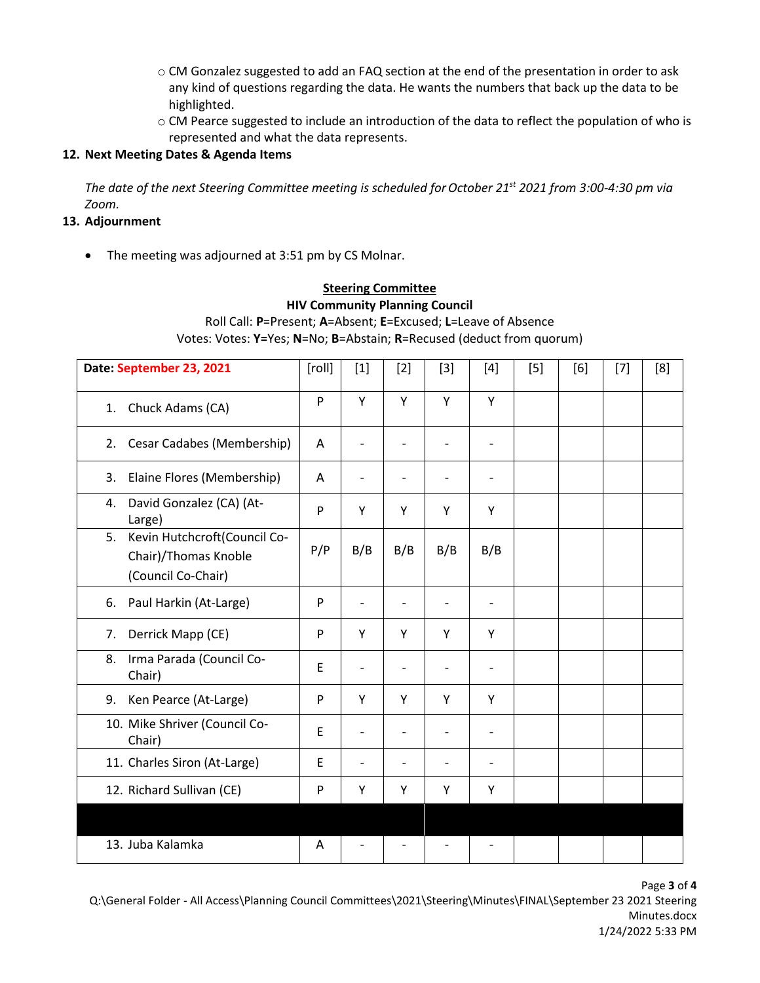- o CM Gonzalez suggested to add an FAQ section at the end of the presentation in order to ask any kind of questions regarding the data. He wants the numbers that back up the data to be highlighted.
- o CM Pearce suggested to include an introduction of the data to reflect the population of who is represented and what the data represents.

### **12. Next Meeting Dates & Agenda Items**

*The date of the next Steering Committee meeting is scheduled for October 21<sup>st</sup> 2021 from 3:00-4:30 pm via Zoom.*

#### **13. Adjournment**

• The meeting was adjourned at 3:51 pm by CS Molnar.

# **Steering Committee HIV Community Planning Council** Roll Call: **P**=Present; **A**=Absent; **E**=Excused; **L**=Leave of Absence

Votes: Votes: **Y=**Yes; **N**=No; **B**=Abstain; **R**=Recused (deduct from quorum)

| Date: September 23, 2021                                   | [roll]      | $[1]$                    | $[2]$ | $[3]$          | $[4]$          | $[5]$ | [6] | $[7]$ | [8] |
|------------------------------------------------------------|-------------|--------------------------|-------|----------------|----------------|-------|-----|-------|-----|
| Chuck Adams (CA)<br>1.                                     | P           | Y                        | Y     | Y              | Y              |       |     |       |     |
| Cesar Cadabes (Membership)<br>2.                           | A           | $\overline{\phantom{a}}$ |       | $\overline{a}$ | $\overline{a}$ |       |     |       |     |
| Elaine Flores (Membership)<br>3.                           | A           | -                        |       |                |                |       |     |       |     |
| David Gonzalez (CA) (At-<br>4.<br>Large)                   | P           | Y                        | Y     | Y              | Υ              |       |     |       |     |
| Kevin Hutchcroft(Council Co-<br>5.<br>Chair)/Thomas Knoble | P/P         | B/B                      | B/B   | B/B            | B/B            |       |     |       |     |
| (Council Co-Chair)                                         |             |                          |       |                |                |       |     |       |     |
| Paul Harkin (At-Large)<br>6.                               | P           |                          |       |                | $\overline{a}$ |       |     |       |     |
| Derrick Mapp (CE)<br>7.                                    | P           | Y                        | Y     | Y              | Y              |       |     |       |     |
| Irma Parada (Council Co-<br>8.<br>Chair)                   | E           | -                        |       |                |                |       |     |       |     |
| Ken Pearce (At-Large)<br>9.                                | P           | Y                        | Y     | Y              | Y              |       |     |       |     |
| 10. Mike Shriver (Council Co-<br>Chair)                    | E           |                          |       |                |                |       |     |       |     |
| 11. Charles Siron (At-Large)                               | $\mathsf E$ |                          |       |                |                |       |     |       |     |
| 12. Richard Sullivan (CE)                                  | P           | Y                        | Υ     | Y              | Υ              |       |     |       |     |
|                                                            |             |                          |       |                |                |       |     |       |     |
| 13. Juba Kalamka                                           | A           |                          |       |                |                |       |     |       |     |